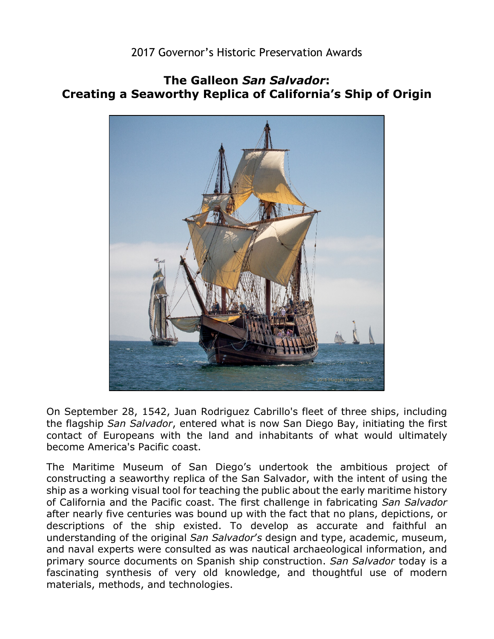## 2017 Governor's Historic Preservation Awards

## **The Galleon** *San Salvador***: Creating a Seaworthy Replica of California's Ship of Origin**



become America's Pacific coast. On September 28, 1542, Juan Rodriguez Cabrillo's fleet of three ships, including the flagship *San Salvador*, entered what is now San Diego Bay, initiating the first contact of Europeans with the land and inhabitants of what would ultimately

 constructing a seaworthy replica of the San Salvador, with the intent of using the ship as a working visual tool for teaching the public about the early maritime history after nearly five centuries was bound up with the fact that no plans, depictions, or The Maritime Museum of San Diego's undertook the ambitious project of of California and the Pacific coast. The first challenge in fabricating *San Salvador*  descriptions of the ship existed. To develop as accurate and faithful an understanding of the original *San Salvador*'*s* design and type, academic, museum, and naval experts were consulted as was nautical archaeological information, and primary source documents on Spanish ship construction. *San Salvador* today is a fascinating synthesis of very old knowledge, and thoughtful use of modern materials, methods, and technologies.